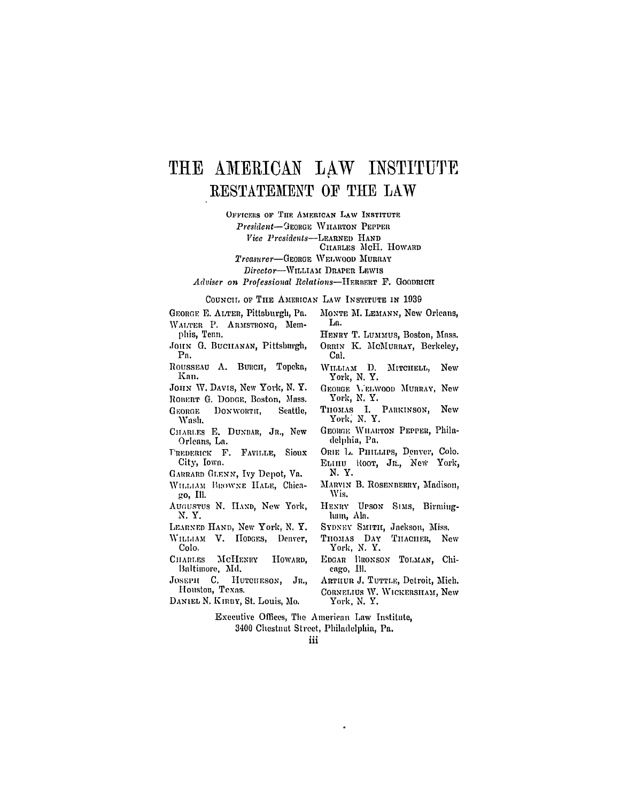## THE AMERICAN LAW INSTITUTE **RESTATEMENT** OF THE LAW

OFFICERS OF THE AMERICAN LAW INSTITUTE

*President-IEonao* VIIARTON PEPPER

*Vice Presidents-LE\RNEo* **HAND**

CHARLES McH. HOWARD

Treasurer-George WELWOOD MURRAY

Director-WILLIAm DRAPER **LEWIS**

Adviser *on Professional Relatious-HEREirr* F. **GOODRICH**

COUNCIL **Op THE AMERICAN** LAW INSTITUTE IN **1939**

- GEORGE E. ALTER, Pittsburgh, Pa. WALTER P. ARMSTRONG, Memphis, Tenn.
- **JoHtN G.** BUCHANAN, Pittsburgh, **Pa.**
- ROUSSEAU A. Bumcn, Topeka, Kan.
- JOHN W. DAVIS, New York, N. Y.
- ROBERT **G.** DODGE, Boston, Mass. GEORGE DONWORTH, Seattle, Wash.
- *CIIARIES* E. **DUNBAR,** Jn., New Orleans, La.
- TREDERICK F. FAVILLE, Sioux City, Iowa.
- GARARD **GI.ENN,** Ivy Depot, Va.
- WILLIAM BROWNE HALE, Chica**go,** Ill.
- AUGUSTUS N. HAND, New York, N.Y.
- LEARNED HAND, New York, **N.** Y. WIMLAAM V. **HODGES,** Denver, **Colo.**
- CHARLES MCHENRY HOWARD. Baltimore, Md.
- JOSEPH C. HUTCHESON, JR., Houston, Texas.
- DANIEL N. KIRBY, St. Louis, Mo.
- MONTE M. LEMANN, New Orleans, La.
	- HENRY T. LUMMUS, Boston, Mass. ORRIN K. MCMURRAY, Berkeley, **Cal.**
	- WILLIAM D. MITCHELL, New York, N. Y.
- GEORGE **A,'EiWOOD** MURRAY, New York, **N.** Y.
- THOMAS I. PARKINSON, New York, N. Y.
- GEORGE WILARTON PEPPER, Philadelphia, Pa.
- ORIE **L.** PHILLIPS, Denver, Colo. ELIIIU ROOT, JR., New York, **N.Y.**
- MARVIN B. ROSENBERRY, Madison, Wis.
- HENRY **UPSON** Sums, Binningham, Ala.
- SYDNEY SMITH, Jackson, Miss.
- THOMAS **DAY** TIIACHER, New York, N. Y.
- EDGAR BRONSON TOLMAN, Chicago, Ill.
- ARTHUR **J. TUTTIE,** Detroit, Mich. CORNELIUS W. WICKERSHAM, New
- York. N. *Y.*

Executive Offices, The American Law Institute, 3400 Chestnut Street, Plhiladelphia, Pa.

iii